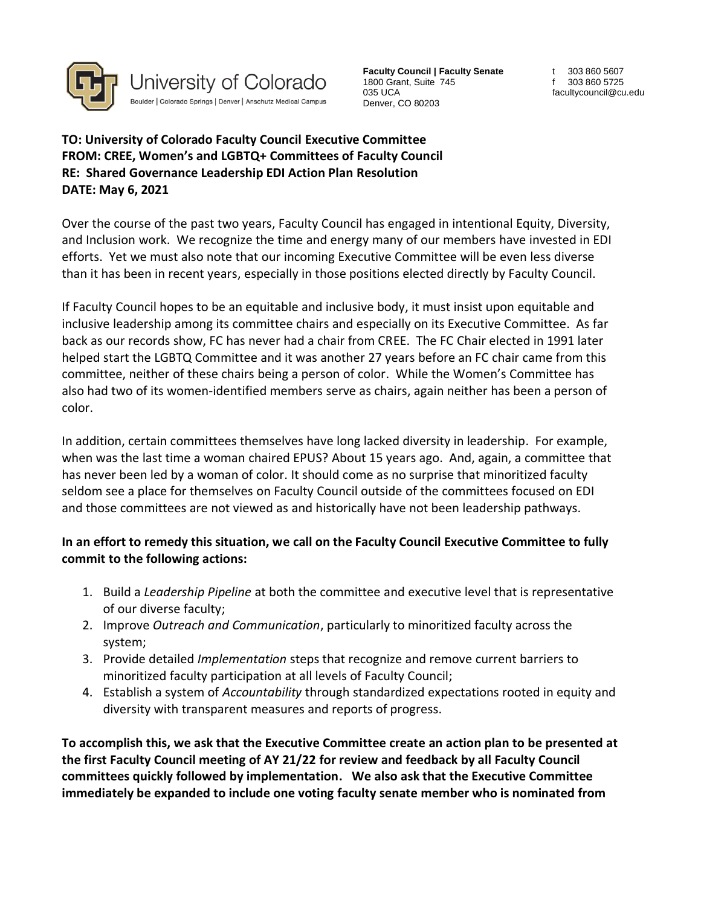

**Faculty Council | Faculty Senate** 1800 Grant, Suite 745 035 UCA Denver, CO 80203

t 303 860 5607 f 303 860 5725 facultycouncil@cu.edu

**TO: University of Colorado Faculty Council Executive Committee FROM: CREE, Women's and LGBTQ+ Committees of Faculty Council RE: Shared Governance Leadership EDI Action Plan Resolution DATE: May 6, 2021**

Over the course of the past two years, Faculty Council has engaged in intentional Equity, Diversity, and Inclusion work. We recognize the time and energy many of our members have invested in EDI efforts. Yet we must also note that our incoming Executive Committee will be even less diverse than it has been in recent years, especially in those positions elected directly by Faculty Council.

If Faculty Council hopes to be an equitable and inclusive body, it must insist upon equitable and inclusive leadership among its committee chairs and especially on its Executive Committee. As far back as our records show, FC has never had a chair from CREE. The FC Chair elected in 1991 later helped start the LGBTQ Committee and it was another 27 years before an FC chair came from this committee, neither of these chairs being a person of color. While the Women's Committee has also had two of its women-identified members serve as chairs, again neither has been a person of color.

In addition, certain committees themselves have long lacked diversity in leadership. For example, when was the last time a woman chaired EPUS? About 15 years ago. And, again, a committee that has never been led by a woman of color. It should come as no surprise that minoritized faculty seldom see a place for themselves on Faculty Council outside of the committees focused on EDI and those committees are not viewed as and historically have not been leadership pathways.

## **In an effort to remedy this situation, we call on the Faculty Council Executive Committee to fully commit to the following actions:**

- 1. Build a *Leadership Pipeline* at both the committee and executive level that is representative of our diverse faculty;
- 2. Improve *Outreach and Communication*, particularly to minoritized faculty across the system;
- 3. Provide detailed *Implementation* steps that recognize and remove current barriers to minoritized faculty participation at all levels of Faculty Council;
- 4. Establish a system of *Accountability* through standardized expectations rooted in equity and diversity with transparent measures and reports of progress.

**To accomplish this, we ask that the Executive Committee create an action plan to be presented at the first Faculty Council meeting of AY 21/22 for review and feedback by all Faculty Council committees quickly followed by implementation. We also ask that the Executive Committee immediately be expanded to include one voting faculty senate member who is nominated from**